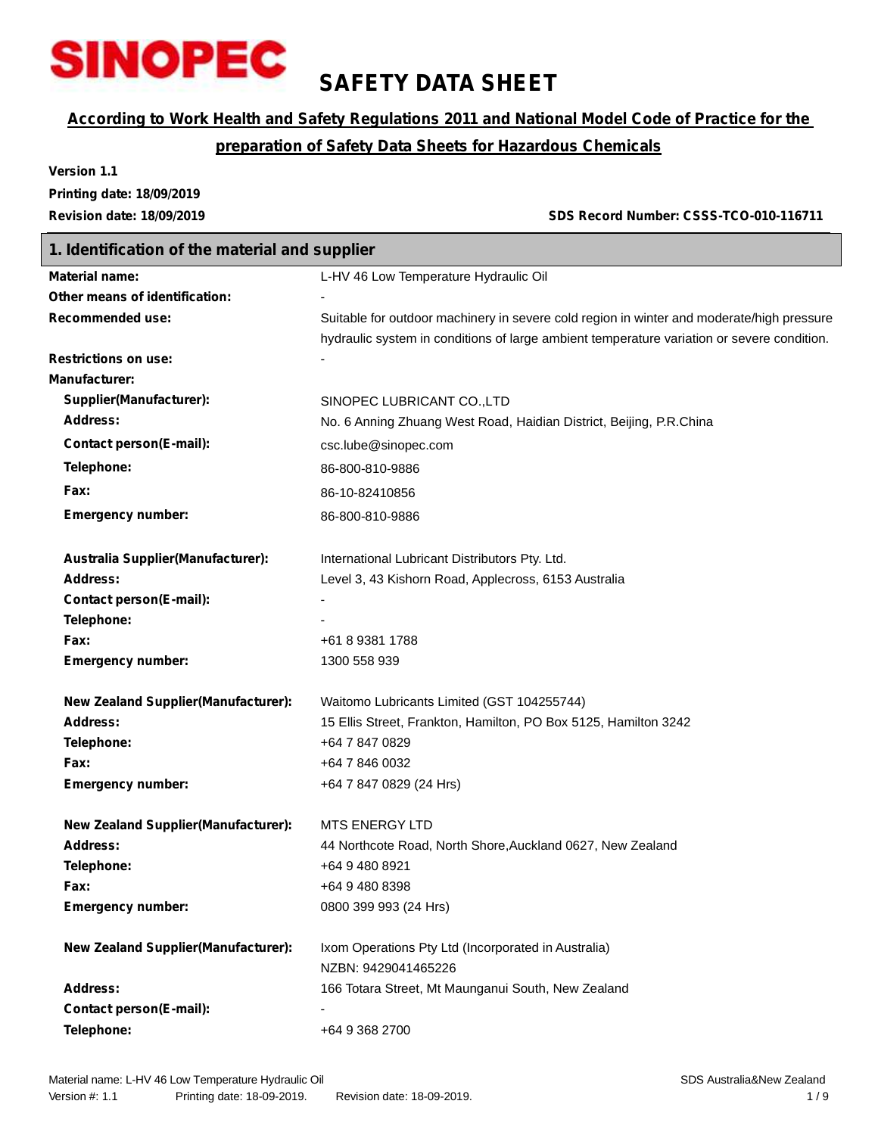

## **SAFETY DATA SHEET**

## *According to Work Health and Safety Regulations 2011 and National Model Code of Practice for the*

## *preparation of Safety Data Sheets for Hazardous Chemicals*

**Version 1.1 Printing date: 18/09/2019**

**Revision date: 18/09/2019 SDS Record Number: CSSS-TCO-010-116711**

| 1. Identification of the material and supplier |                                                                                            |  |
|------------------------------------------------|--------------------------------------------------------------------------------------------|--|
| <b>Material name:</b>                          | L-HV 46 Low Temperature Hydraulic Oil                                                      |  |
| Other means of identification:                 |                                                                                            |  |
| <b>Recommended use:</b>                        | Suitable for outdoor machinery in severe cold region in winter and moderate/high pressure  |  |
|                                                | hydraulic system in conditions of large ambient temperature variation or severe condition. |  |
| <b>Restrictions on use:</b>                    |                                                                                            |  |
| <b>Manufacturer:</b>                           |                                                                                            |  |
| Supplier(Manufacturer):                        | SINOPEC LUBRICANT CO., LTD                                                                 |  |
| Address:                                       | No. 6 Anning Zhuang West Road, Haidian District, Beijing, P.R.China                        |  |
| <b>Contact person(E-mail):</b>                 | csc.lube@sinopec.com                                                                       |  |
| Telephone:                                     | 86-800-810-9886                                                                            |  |
| Fax:                                           | 86-10-82410856                                                                             |  |
| <b>Emergency number:</b>                       | 86-800-810-9886                                                                            |  |
|                                                |                                                                                            |  |
| Australia Supplier(Manufacturer):<br>Address:  | International Lubricant Distributors Pty. Ltd.                                             |  |
| <b>Contact person(E-mail):</b>                 | Level 3, 43 Kishorn Road, Applecross, 6153 Australia                                       |  |
| Telephone:                                     |                                                                                            |  |
| Fax:                                           | +61 8 9381 1788                                                                            |  |
| <b>Emergency number:</b>                       | 1300 558 939                                                                               |  |
| <b>New Zealand Supplier(Manufacturer):</b>     | Waitomo Lubricants Limited (GST 104255744)                                                 |  |
| <b>Address:</b>                                | 15 Ellis Street, Frankton, Hamilton, PO Box 5125, Hamilton 3242                            |  |
| Telephone:                                     | +64 7 847 0829                                                                             |  |
| <b>Fax:</b>                                    | +64 7 846 0032                                                                             |  |
| <b>Emergency number:</b>                       | +64 7 847 0829 (24 Hrs)                                                                    |  |
| <b>New Zealand Supplier(Manufacturer):</b>     | <b>MTS ENERGY LTD</b>                                                                      |  |
| Address:                                       | 44 Northcote Road, North Shore, Auckland 0627, New Zealand                                 |  |
| Telephone:                                     | +64 9 480 8921                                                                             |  |
| Fax:                                           | +64 9 480 8398                                                                             |  |
| <b>Emergency number:</b>                       | 0800 399 993 (24 Hrs)                                                                      |  |
| <b>New Zealand Supplier(Manufacturer):</b>     | Ixom Operations Pty Ltd (Incorporated in Australia)                                        |  |
|                                                | NZBN: 9429041465226                                                                        |  |
| Address:                                       | 166 Totara Street, Mt Maunganui South, New Zealand                                         |  |
| <b>Contact person(E-mail):</b>                 |                                                                                            |  |
| Telephone:                                     | +64 9 368 2700                                                                             |  |
|                                                |                                                                                            |  |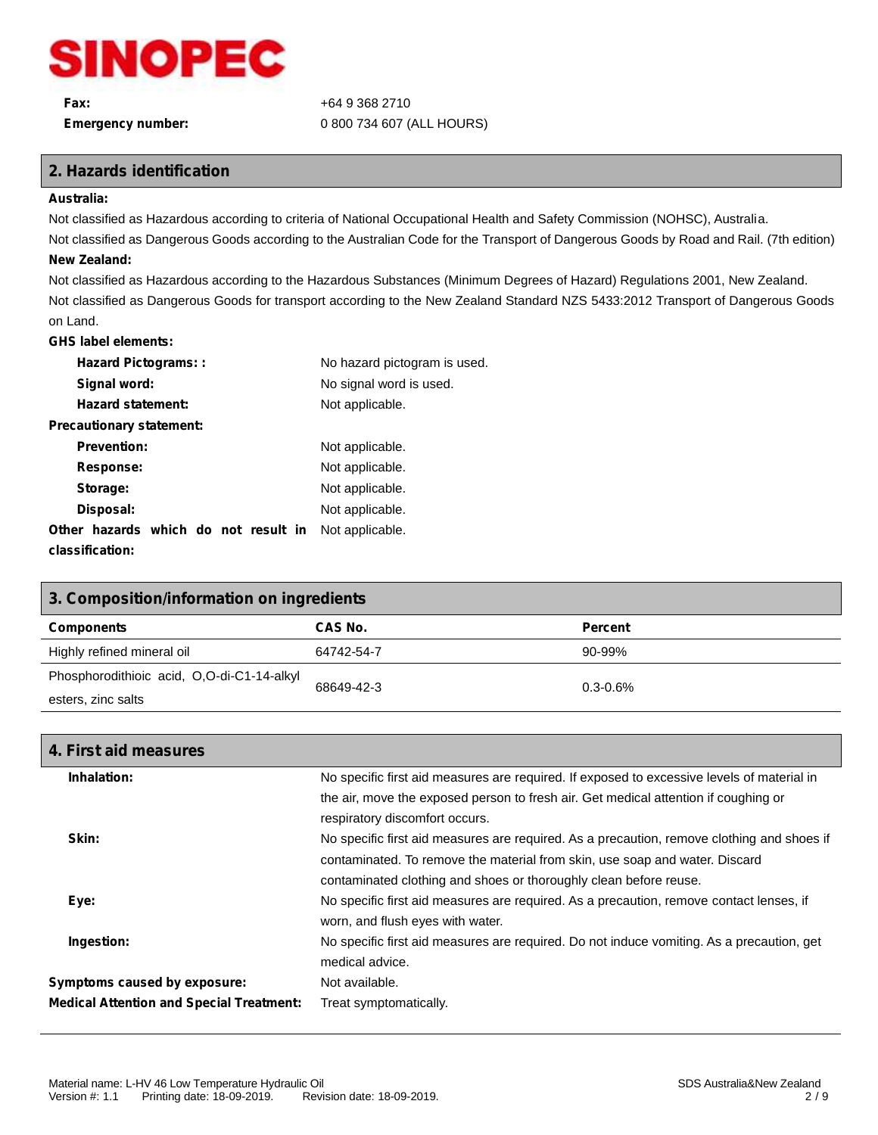

## **Fax:** +64 9 368 2710 **Emergency number:** 0 800 734 607 (ALL HOURS)

## **2. Hazards identification**

### **Australia:**

Not classified as Hazardous according to criteria of National Occupational Health and Safety Commission (NOHSC), Australia.

Not classified as Dangerous Goods according to the Australian Code for the Transport of Dangerous Goods by Road and Rail. (7th edition) **New Zealand:**

Not classified as Hazardous according to the Hazardous Substances (Minimum Degrees of Hazard) Regulations 2001, New Zealand. Not classified as Dangerous Goods for transport according to the New Zealand Standard NZS 5433:2012 Transport of Dangerous Goods on Land.

## **GHS label elements:**

| <b>Hazard Pictograms::</b>           | No hazard pictogram is used. |
|--------------------------------------|------------------------------|
| Signal word:                         | No signal word is used.      |
| <b>Hazard statement:</b>             | Not applicable.              |
| <b>Precautionary statement:</b>      |                              |
| <b>Prevention:</b>                   | Not applicable.              |
| Response:                            | Not applicable.              |
| Storage:                             | Not applicable.              |
| Disposal:                            | Not applicable.              |
| Other hazards which do not result in | Not applicable.              |
| classification:                      |                              |

## **3. Composition/information on ingredients Components CAS No. Percent** Highly refined mineral oil 64742-54-7 90-99% Phosphorodithioic acid, O,O-di-C1-14-alkyl esters, zinc salts 68649-42-3 0.3-0.6%

| 4. First aid measures                           |                                                                                            |
|-------------------------------------------------|--------------------------------------------------------------------------------------------|
| Inhalation:                                     | No specific first aid measures are required. If exposed to excessive levels of material in |
|                                                 | the air, move the exposed person to fresh air. Get medical attention if coughing or        |
|                                                 | respiratory discomfort occurs.                                                             |
| Skin:                                           | No specific first aid measures are required. As a precaution, remove clothing and shoes if |
|                                                 | contaminated. To remove the material from skin, use soap and water. Discard                |
|                                                 | contaminated clothing and shoes or thoroughly clean before reuse.                          |
| Eye:                                            | No specific first aid measures are required. As a precaution, remove contact lenses, if    |
|                                                 | worn, and flush eyes with water.                                                           |
| Ingestion:                                      | No specific first aid measures are required. Do not induce vomiting. As a precaution, get  |
|                                                 | medical advice.                                                                            |
| Symptoms caused by exposure:                    | Not available.                                                                             |
| <b>Medical Attention and Special Treatment:</b> | Treat symptomatically.                                                                     |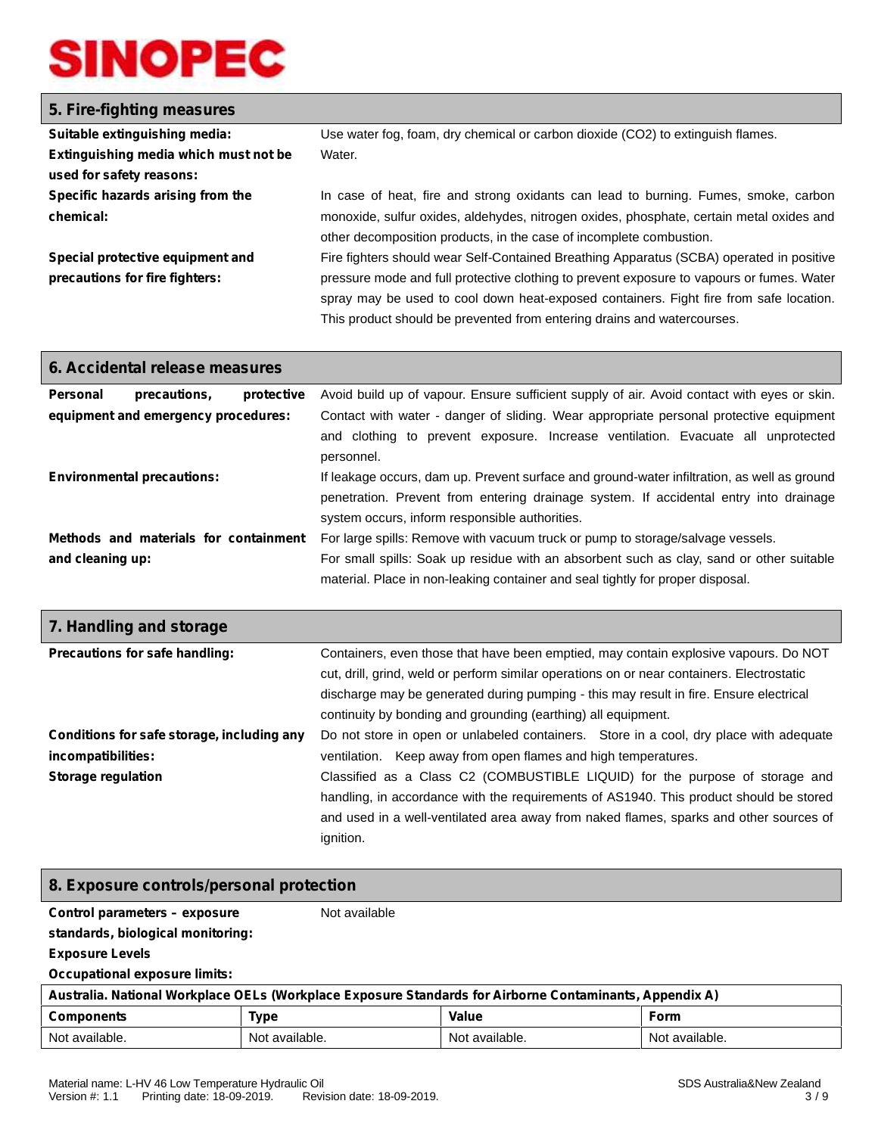## **5. Fire-fighting measures**

| Suitable extinguishing media:         | Use water fog, foam, dry chemical or carbon dioxide (CO2) to extinguish flames.           |  |
|---------------------------------------|-------------------------------------------------------------------------------------------|--|
| Extinguishing media which must not be | Water.                                                                                    |  |
| used for safety reasons:              |                                                                                           |  |
| Specific hazards arising from the     | In case of heat, fire and strong oxidants can lead to burning. Fumes, smoke, carbon       |  |
| chemical:                             | monoxide, sulfur oxides, aldehydes, nitrogen oxides, phosphate, certain metal oxides and  |  |
|                                       | other decomposition products, in the case of incomplete combustion.                       |  |
| Special protective equipment and      | Fire fighters should wear Self-Contained Breathing Apparatus (SCBA) operated in positive  |  |
| precautions for fire fighters:        | pressure mode and full protective clothing to prevent exposure to vapours or fumes. Water |  |
|                                       | spray may be used to cool down heat-exposed containers. Fight fire from safe location.    |  |
|                                       | This product should be prevented from entering drains and watercourses.                   |  |

| 6. Accidental release measures      |                                       |            |                                                                                             |
|-------------------------------------|---------------------------------------|------------|---------------------------------------------------------------------------------------------|
| <b>Personal</b>                     | precautions.                          | protective | Avoid build up of vapour. Ensure sufficient supply of air. Avoid contact with eyes or skin. |
| equipment and emergency procedures: |                                       |            | Contact with water - danger of sliding. Wear appropriate personal protective equipment      |
|                                     |                                       |            | and clothing to prevent exposure. Increase ventilation. Evacuate all unprotected            |
|                                     |                                       |            | personnel.                                                                                  |
| <b>Environmental precautions:</b>   |                                       |            | If leakage occurs, dam up. Prevent surface and ground-water infiltration, as well as ground |
|                                     |                                       |            | penetration. Prevent from entering drainage system. If accidental entry into drainage       |
|                                     |                                       |            | system occurs, inform responsible authorities.                                              |
|                                     | Methods and materials for containment |            | For large spills: Remove with vacuum truck or pump to storage/salvage vessels.              |
| and cleaning up:                    |                                       |            | For small spills: Soak up residue with an absorbent such as clay, sand or other suitable    |
|                                     |                                       |            | material. Place in non-leaking container and seal tightly for proper disposal.              |

| 7. Handling and storage                                                                       |                                                                                                                                                                                                                                                                                                                                               |  |
|-----------------------------------------------------------------------------------------------|-----------------------------------------------------------------------------------------------------------------------------------------------------------------------------------------------------------------------------------------------------------------------------------------------------------------------------------------------|--|
| Precautions for safe handling:                                                                | Containers, even those that have been emptied, may contain explosive vapours. Do NOT<br>cut, drill, grind, weld or perform similar operations on or near containers. Electrostatic<br>discharge may be generated during pumping - this may result in fire. Ensure electrical<br>continuity by bonding and grounding (earthing) all equipment. |  |
| Conditions for safe storage, including any<br>incompatibilities:<br><b>Storage regulation</b> | Do not store in open or unlabeled containers. Store in a cool, dry place with adequate<br>ventilation. Keep away from open flames and high temperatures.<br>Classified as a Class C2 (COMBUSTIBLE LIQUID) for the purpose of storage and                                                                                                      |  |
|                                                                                               | handling, in accordance with the requirements of AS1940. This product should be stored<br>and used in a well-ventilated area away from naked flames, sparks and other sources of<br>ignition.                                                                                                                                                 |  |

## **8. Exposure controls/personal protection**

**Control parameters – exposure standards, biological monitoring:** Not available

## **Exposure Levels**

**Occupational exposure limits:**

| Australia. National Workplace OELs (Workplace Exposure Standards for Airborne Contaminants, Appendix A) |                |                |                |  |
|---------------------------------------------------------------------------------------------------------|----------------|----------------|----------------|--|
| <b>Components</b>                                                                                       | Type           | Value          | Form           |  |
| Not available.                                                                                          | Not available. | Not available. | Not available. |  |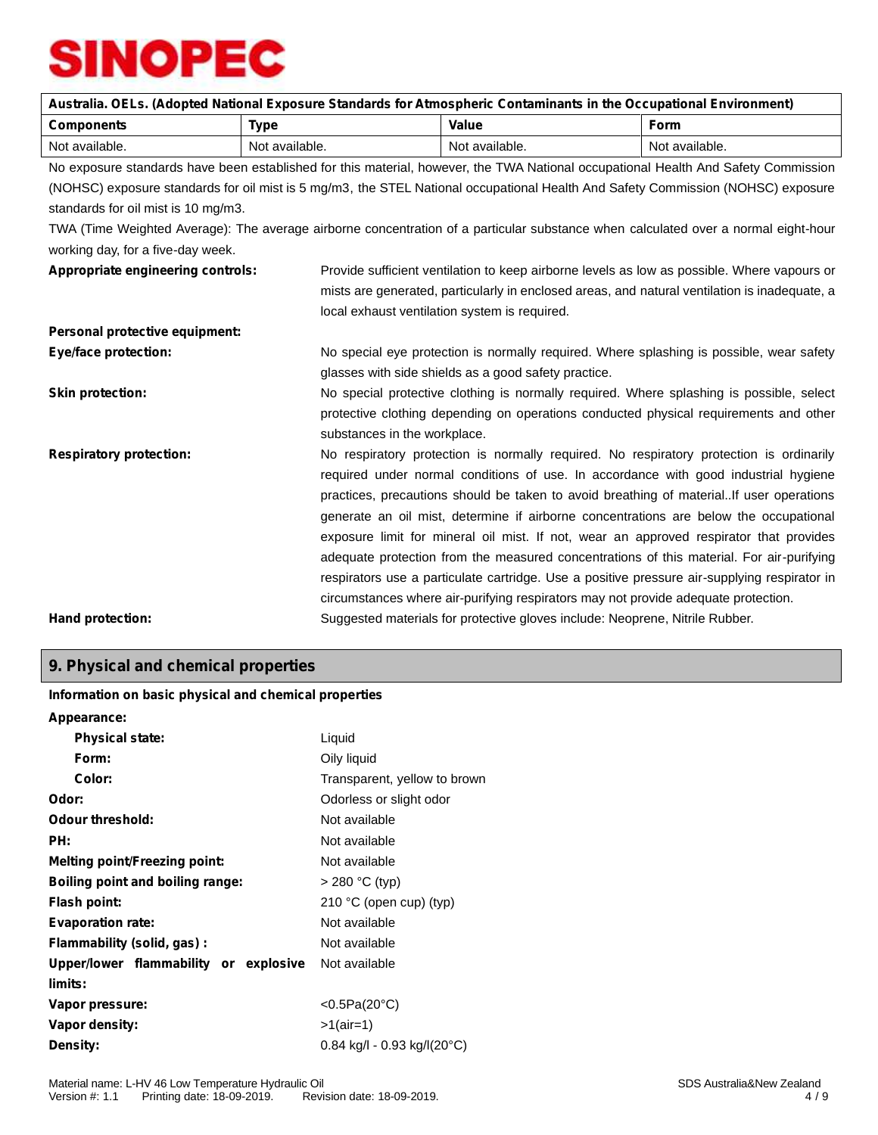|                                                                                                                                    |                              |                                                                                               | Australia. OELs. (Adopted National Exposure Standards for Atmospheric Contaminants in the Occupational Environment)                |  |  |
|------------------------------------------------------------------------------------------------------------------------------------|------------------------------|-----------------------------------------------------------------------------------------------|------------------------------------------------------------------------------------------------------------------------------------|--|--|
| <b>Components</b>                                                                                                                  | <b>Type</b>                  | Value                                                                                         | <b>Form</b>                                                                                                                        |  |  |
| Not available.                                                                                                                     | Not available.               | Not available.                                                                                | Not available.                                                                                                                     |  |  |
| No exposure standards have been established for this material, however, the TWA National occupational Health And Safety Commission |                              |                                                                                               |                                                                                                                                    |  |  |
|                                                                                                                                    |                              |                                                                                               | (NOHSC) exposure standards for oil mist is 5 mg/m3, the STEL National occupational Health And Safety Commission (NOHSC) exposure   |  |  |
| standards for oil mist is 10 mg/m3.                                                                                                |                              |                                                                                               |                                                                                                                                    |  |  |
|                                                                                                                                    |                              |                                                                                               | TWA (Time Weighted Average): The average airborne concentration of a particular substance when calculated over a normal eight-hour |  |  |
| working day, for a five-day week.                                                                                                  |                              |                                                                                               |                                                                                                                                    |  |  |
| Appropriate engineering controls:                                                                                                  |                              | Provide sufficient ventilation to keep airborne levels as low as possible. Where vapours or   |                                                                                                                                    |  |  |
|                                                                                                                                    |                              | mists are generated, particularly in enclosed areas, and natural ventilation is inadequate, a |                                                                                                                                    |  |  |
|                                                                                                                                    |                              | local exhaust ventilation system is required.                                                 |                                                                                                                                    |  |  |
| Personal protective equipment:                                                                                                     |                              |                                                                                               |                                                                                                                                    |  |  |
| <b>Eye/face protection:</b>                                                                                                        |                              | No special eye protection is normally required. Where splashing is possible, wear safety      |                                                                                                                                    |  |  |
|                                                                                                                                    |                              | glasses with side shields as a good safety practice.                                          |                                                                                                                                    |  |  |
| <b>Skin protection:</b>                                                                                                            |                              | No special protective clothing is normally required. Where splashing is possible, select      |                                                                                                                                    |  |  |
|                                                                                                                                    |                              | protective clothing depending on operations conducted physical requirements and other         |                                                                                                                                    |  |  |
|                                                                                                                                    | substances in the workplace. |                                                                                               |                                                                                                                                    |  |  |
| <b>Respiratory protection:</b>                                                                                                     |                              |                                                                                               | No respiratory protection is normally required. No respiratory protection is ordinarily                                            |  |  |
|                                                                                                                                    |                              |                                                                                               | required under normal conditions of use. In accordance with good industrial hygiene                                                |  |  |
|                                                                                                                                    |                              |                                                                                               | practices, precautions should be taken to avoid breathing of materialIf user operations                                            |  |  |
|                                                                                                                                    |                              |                                                                                               | generate an oil mist, determine if airborne concentrations are below the occupational                                              |  |  |
|                                                                                                                                    |                              |                                                                                               | exposure limit for mineral oil mist. If not, wear an approved respirator that provides                                             |  |  |
|                                                                                                                                    |                              |                                                                                               | adequate protection from the measured concentrations of this material. For air-purifying                                           |  |  |
|                                                                                                                                    |                              |                                                                                               | respirators use a particulate cartridge. Use a positive pressure air-supplying respirator in                                       |  |  |
|                                                                                                                                    |                              |                                                                                               | circumstances where air-purifying respirators may not provide adequate protection.                                                 |  |  |
| Hand protection:                                                                                                                   |                              |                                                                                               | Suggested materials for protective gloves include: Neoprene, Nitrile Rubber.                                                       |  |  |

## **9. Physical and chemical properties**

## **Information on basic physical and chemical properties**

| Appearance:                           |                              |
|---------------------------------------|------------------------------|
| <b>Physical state:</b>                | Liquid                       |
| Form:                                 | Oily liquid                  |
| Color:                                | Transparent, yellow to brown |
| Odor:                                 | Odorless or slight odor      |
| <b>Odour threshold:</b>               | Not available                |
| PH:                                   | Not available                |
| <b>Melting point/Freezing point:</b>  | Not available                |
| Boiling point and boiling range:      | $> 280 °C$ (typ)             |
| Flash point:                          | 210 °C (open cup) (typ)      |
| <b>Evaporation rate:</b>              | Not available                |
| Flammability (solid, gas):            | Not available                |
| Upper/lower flammability or explosive | Not available                |
| limits:                               |                              |
| Vapor pressure:                       | <0.5Pa(20°C)                 |
| Vapor density:                        | $>1$ (air=1)                 |
| Density:                              | 0.84 kg/l - 0.93 kg/l(20°C)  |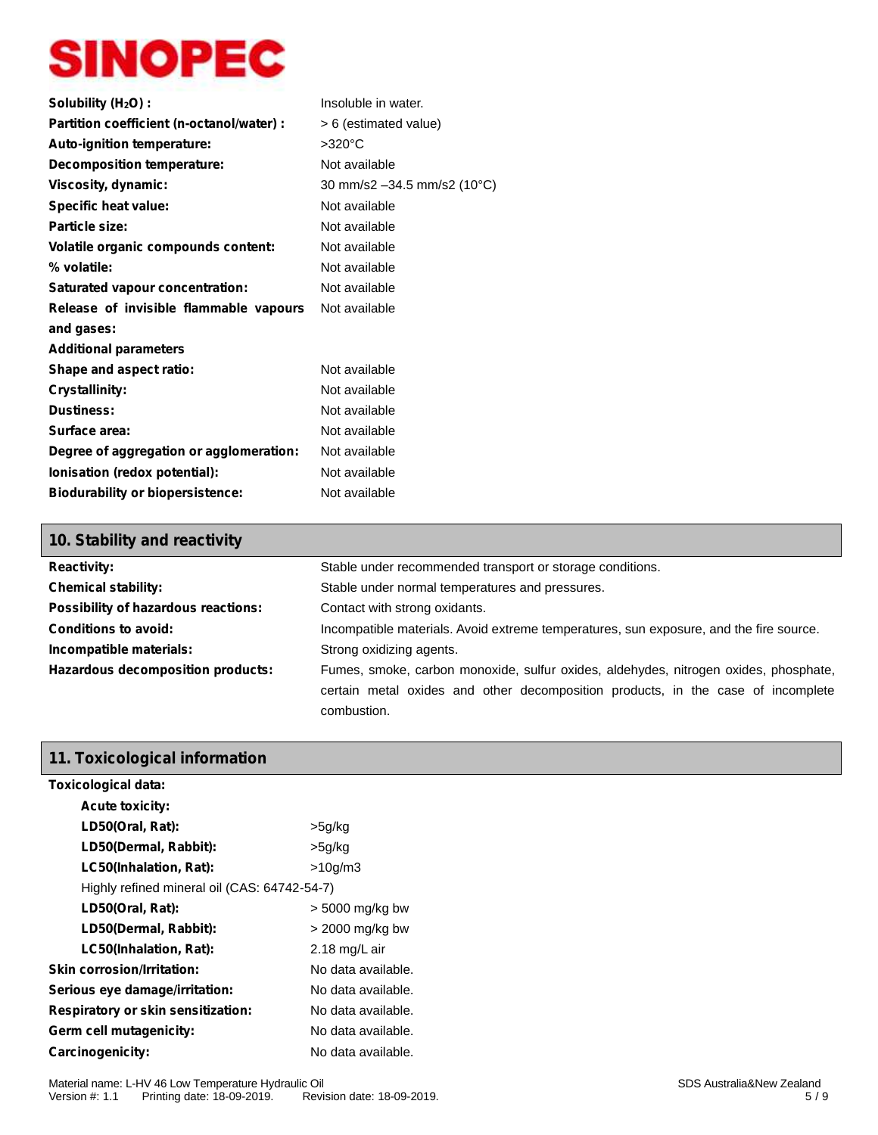| Solubility (H <sub>2</sub> O) :           | Insoluble in water.                      |
|-------------------------------------------|------------------------------------------|
| Partition coefficient (n-octanol/water) : | > 6 (estimated value)                    |
| Auto-ignition temperature:                | $>320^{\circ}$ C                         |
| Decomposition temperature:                | Not available                            |
| Viscosity, dynamic:                       | 30 mm/s2 $-34.5$ mm/s2 (10 $^{\circ}$ C) |
| <b>Specific heat value:</b>               | Not available                            |
| Particle size:                            | Not available                            |
| Volatile organic compounds content:       | Not available                            |
| % volatile:                               | Not available                            |
| Saturated vapour concentration:           | Not available                            |
| Release of invisible flammable vapours    | Not available                            |
| and gases:                                |                                          |
| <b>Additional parameters</b>              |                                          |
| Shape and aspect ratio:                   | Not available                            |
| Crystallinity:                            | Not available                            |
| <b>Dustiness:</b>                         | Not available                            |
| Surface area:                             | Not available                            |
| Degree of aggregation or agglomeration:   | Not available                            |
| lonisation (redox potential):             | Not available                            |
| <b>Biodurability or biopersistence:</b>   | Not available                            |

## **10. Stability and reactivity** Reactivity: **Reactivity:** Stable under recommended transport or storage conditions.

| <b>Chemical stability:</b>          | Stable under normal temperatures and pressures.                                        |  |  |
|-------------------------------------|----------------------------------------------------------------------------------------|--|--|
| Possibility of hazardous reactions: | Contact with strong oxidants.                                                          |  |  |
| <b>Conditions to avoid:</b>         | Incompatible materials. Avoid extreme temperatures, sun exposure, and the fire source. |  |  |
| Incompatible materials:             | Strong oxidizing agents.                                                               |  |  |
| Hazardous decomposition products:   | Fumes, smoke, carbon monoxide, sulfur oxides, aldehydes, nitrogen oxides, phosphate,   |  |  |
|                                     | certain metal oxides and other decomposition products, in the case of incomplete       |  |  |
|                                     | combustion.                                                                            |  |  |

## **11. Toxicological information**

| Toxicological data:                          |                    |  |
|----------------------------------------------|--------------------|--|
| <b>Acute toxicity:</b>                       |                    |  |
| LD50(Oral, Rat):                             | $>5$ g/kg          |  |
| LD50(Dermal, Rabbit):                        | $>5$ g/kg          |  |
| LC50(Inhalation, Rat):                       | >10g/m3            |  |
| Highly refined mineral oil (CAS: 64742-54-7) |                    |  |
| LD50(Oral, Rat):                             | $>$ 5000 mg/kg bw  |  |
| LD50(Dermal, Rabbit):                        | $>$ 2000 mg/kg bw  |  |
| LC50(Inhalation, Rat):                       | 2.18 mg/L air      |  |
| <b>Skin corrosion/Irritation:</b>            | No data available. |  |
| Serious eye damage/irritation:               | No data available. |  |
| Respiratory or skin sensitization:           | No data available. |  |
| Germ cell mutagenicity:                      | No data available. |  |
| Carcinogenicity:                             | No data available. |  |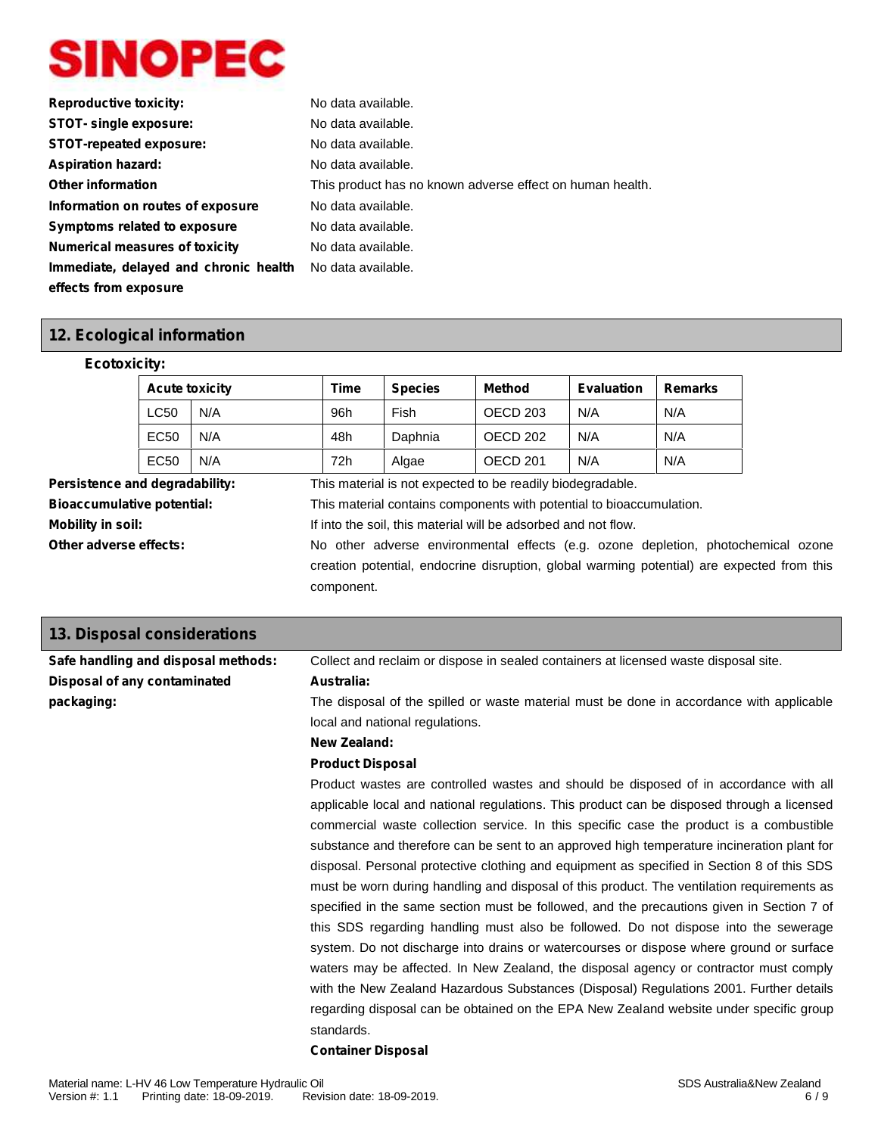| <b>Reproductive toxicity:</b>         | No data available.                                        |
|---------------------------------------|-----------------------------------------------------------|
| <b>STOT-</b> single exposure:         | No data available.                                        |
| <b>STOT-repeated exposure:</b>        | No data available.                                        |
| <b>Aspiration hazard:</b>             | No data available.                                        |
| <b>Other information</b>              | This product has no known adverse effect on human health. |
| Information on routes of exposure     | No data available.                                        |
| Symptoms related to exposure          | No data available.                                        |
| <b>Numerical measures of toxicity</b> | No data available.                                        |
| Immediate, delayed and chronic health | No data available.                                        |
| effects from exposure                 |                                                           |

## **12. Ecological information**

| <b>Ecotoxicity:</b> |
|---------------------|
|---------------------|

|                                   | <b>Acute toxicity</b> |                                                                                            | <b>Time</b> |  | <b>Species</b> | <b>Method</b>                                                                     | <b>Evaluation</b> | <b>Remarks</b> |
|-----------------------------------|-----------------------|--------------------------------------------------------------------------------------------|-------------|--|----------------|-----------------------------------------------------------------------------------|-------------------|----------------|
|                                   | <b>LC50</b>           | N/A                                                                                        | 96h         |  | Fish           | OECD 203                                                                          | N/A               | N/A            |
|                                   | <b>EC50</b>           | N/A                                                                                        | 48h         |  | Daphnia        | OECD 202                                                                          | N/A               | N/A            |
|                                   | EC <sub>50</sub>      | N/A                                                                                        | 72h         |  | Algae          | OECD <sub>201</sub>                                                               | N/A               | N/A            |
| Persistence and degradability:    |                       |                                                                                            |             |  |                | This material is not expected to be readily biodegradable.                        |                   |                |
| <b>Bioaccumulative potential:</b> |                       |                                                                                            |             |  |                | This material contains components with potential to bioaccumulation.              |                   |                |
| Mobility in soil:                 |                       |                                                                                            |             |  |                | If into the soil, this material will be adsorbed and not flow.                    |                   |                |
| Other adverse effects:            |                       |                                                                                            |             |  |                | No other adverse environmental effects (e.g. ozone depletion, photochemical ozone |                   |                |
|                                   |                       | creation potential, endocrine disruption, global warming potential) are expected from this |             |  |                |                                                                                   |                   |                |
|                                   |                       | component.                                                                                 |             |  |                |                                                                                   |                   |                |

| 13. Disposal considerations         |                                                                                            |
|-------------------------------------|--------------------------------------------------------------------------------------------|
| Safe handling and disposal methods: | Collect and reclaim or dispose in sealed containers at licensed waste disposal site.       |
| Disposal of any contaminated        | Australia:                                                                                 |
| packaging:                          | The disposal of the spilled or waste material must be done in accordance with applicable   |
|                                     | local and national regulations.                                                            |
|                                     | <b>New Zealand:</b>                                                                        |
|                                     | <b>Product Disposal</b>                                                                    |
|                                     | Product wastes are controlled wastes and should be disposed of in accordance with all      |
|                                     | applicable local and national regulations. This product can be disposed through a licensed |
|                                     | commercial waste collection service. In this specific case the product is a combustible    |
|                                     | substance and therefore can be sent to an approved high temperature incineration plant for |
|                                     | disposal. Personal protective clothing and equipment as specified in Section 8 of this SDS |
|                                     | must be worn during handling and disposal of this product. The ventilation requirements as |
|                                     | specified in the same section must be followed, and the precautions given in Section 7 of  |
|                                     | this SDS regarding handling must also be followed. Do not dispose into the sewerage        |
|                                     | system. Do not discharge into drains or watercourses or dispose where ground or surface    |
|                                     | waters may be affected. In New Zealand, the disposal agency or contractor must comply      |
|                                     | with the New Zealand Hazardous Substances (Disposal) Regulations 2001. Further details     |
|                                     | regarding disposal can be obtained on the EPA New Zealand website under specific group     |
|                                     | standards.                                                                                 |
|                                     | <b>Container Disposal</b>                                                                  |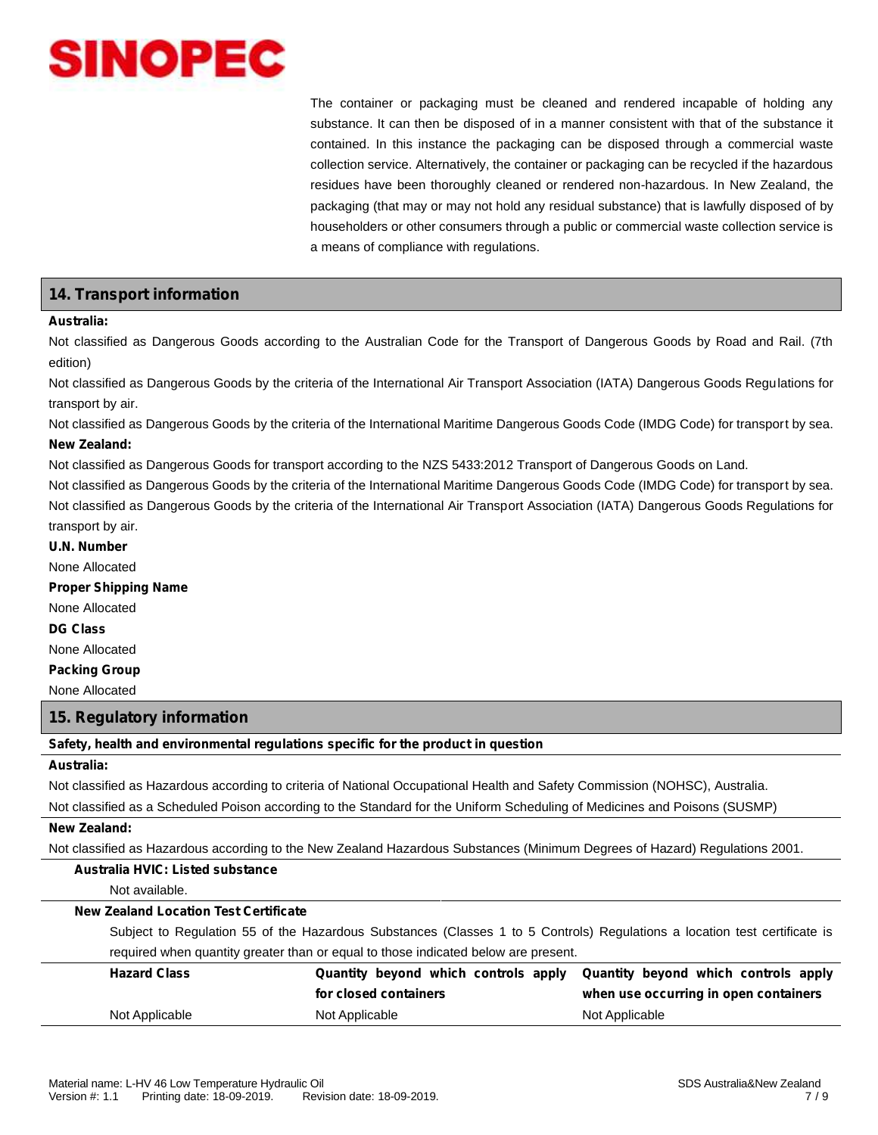

The container or packaging must be cleaned and rendered incapable of holding any substance. It can then be disposed of in a manner consistent with that of the substance it contained. In this instance the packaging can be disposed through a commercial waste collection service. Alternatively, the container or packaging can be recycled if the hazardous residues have been thoroughly cleaned or rendered non-hazardous. In New Zealand, the packaging (that may or may not hold any residual substance) that is lawfully disposed of by householders or other consumers through a public or commercial waste collection service is a means of compliance with regulations.

## **14. Transport information**

### **Australia:**

Not classified as Dangerous Goods according to the Australian Code for the Transport of Dangerous Goods by Road and Rail. (7th edition)

Not classified as Dangerous Goods by the criteria of the International Air Transport Association (IATA) Dangerous Goods Regulations for transport by air.

Not classified as Dangerous Goods by the criteria of the International Maritime Dangerous Goods Code (IMDG Code) for transport by sea. **New Zealand:**

Not classified as Dangerous Goods for transport according to the NZS 5433:2012 Transport of Dangerous Goods on Land.

Not classified as Dangerous Goods by the criteria of the International Maritime Dangerous Goods Code (IMDG Code) for transport by sea. Not classified as Dangerous Goods by the criteria of the International Air Transport Association (IATA) Dangerous Goods Regulations for transport by air.

**U.N. Number**

None Allocated **Proper Shipping Name** None Allocated **DG Class** None Allocated

## **Packing Group**

None Allocated

## **15. Regulatory information**

**Safety, health and environmental regulations specific for the product in question**

### **Australia:**

Not classified as Hazardous according to criteria of National Occupational Health and Safety Commission (NOHSC), Australia.

Not classified as a Scheduled Poison according to the Standard for the Uniform Scheduling of Medicines and Poisons (SUSMP)

### **New Zealand:**

Not classified as Hazardous according to the New Zealand Hazardous Substances (Minimum Degrees of Hazard) Regulations 2001.

## **Australia HVIC: Listed substance**

Not available.

### **New Zealand Location Test Certificate**

Subject to Regulation 55 of the Hazardous Substances (Classes 1 to 5 Controls) Regulations a location test certificate is required when quantity greater than or equal to those indicated below are present.

| <b>Hazard Class</b> |                       | Quantity beyond which controls apply Quantity beyond which controls apply |  |  |
|---------------------|-----------------------|---------------------------------------------------------------------------|--|--|
|                     | for closed containers | when use occurring in open containers                                     |  |  |
| Not Applicable      | Not Applicable        | Not Applicable                                                            |  |  |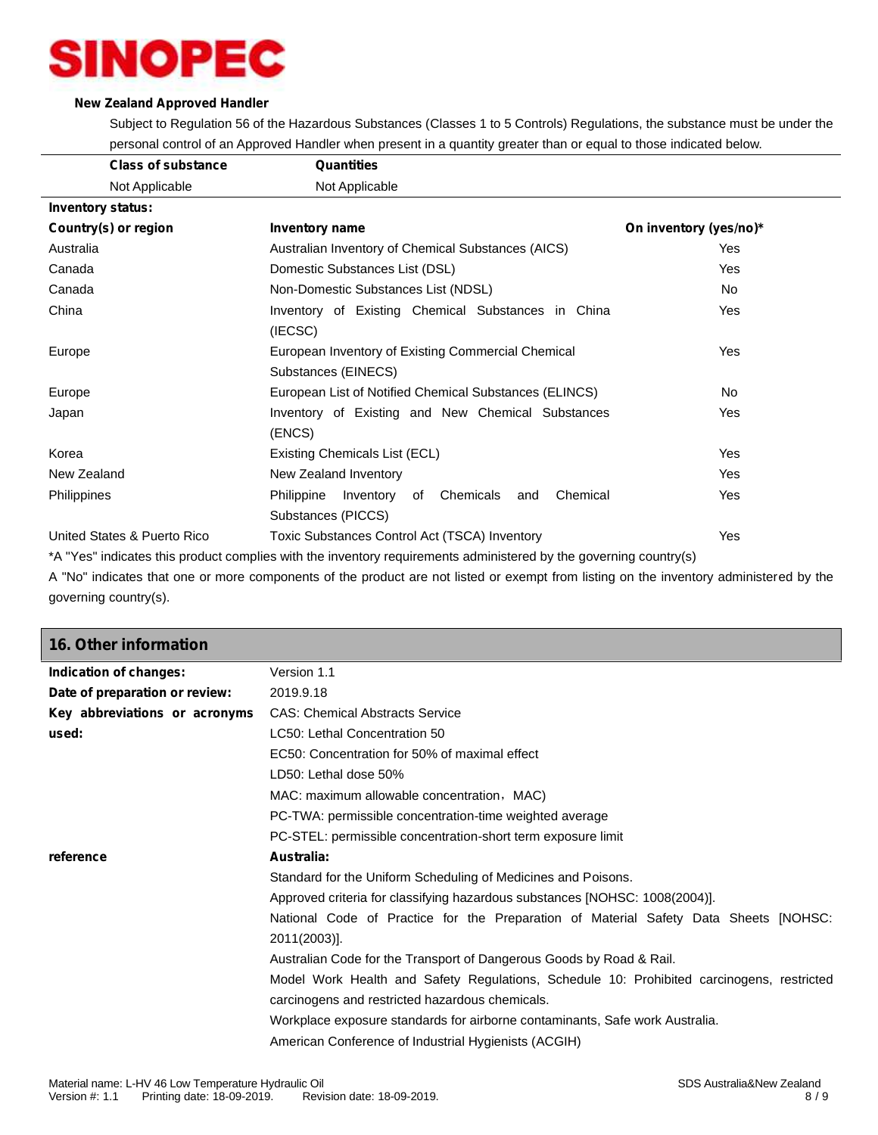## **New Zealand Approved Handler**

Subject to Regulation 56 of the Hazardous Substances (Classes 1 to 5 Controls) Regulations, the substance must be under the personal control of an Approved Handler when present in a quantity greater than or equal to those indicated below.

| <b>Class of substance</b>   | Quantities                                                 |                        |
|-----------------------------|------------------------------------------------------------|------------------------|
| Not Applicable              | Not Applicable                                             |                        |
| <b>Inventory status:</b>    |                                                            |                        |
| Country(s) or region        | <b>Inventory name</b>                                      | On inventory (yes/no)* |
| Australia                   | Australian Inventory of Chemical Substances (AICS)         | Yes                    |
| Canada                      | Domestic Substances List (DSL)                             | Yes                    |
| Canada                      | Non-Domestic Substances List (NDSL)                        | No                     |
| China                       | Inventory of Existing Chemical Substances in China         | Yes                    |
|                             | (IECSC)                                                    |                        |
| Europe                      | European Inventory of Existing Commercial Chemical         | Yes                    |
|                             | Substances (EINECS)                                        |                        |
| Europe                      | European List of Notified Chemical Substances (ELINCS)     | No                     |
| Japan                       | Inventory of Existing and New Chemical Substances          | Yes                    |
|                             | (ENCS)                                                     |                        |
| Korea                       | Existing Chemicals List (ECL)                              | Yes                    |
| New Zealand                 | New Zealand Inventory                                      | Yes                    |
| <b>Philippines</b>          | Philippine<br>Chemicals<br>Chemical<br>Inventory of<br>and | Yes                    |
|                             | Substances (PICCS)                                         |                        |
| United States & Puerto Rico | Toxic Substances Control Act (TSCA) Inventory              | Yes                    |

\*A "Yes" indicates this product complies with the inventory requirements administered by the governing country(s)

A "No" indicates that one or more components of the product are not listed or exempt from listing on the inventory administered by the governing country(s).

| <b>16. Other information</b>   |                                                                                           |
|--------------------------------|-------------------------------------------------------------------------------------------|
| Indication of changes:         | Version 1.1                                                                               |
| Date of preparation or review: | 2019.9.18                                                                                 |
| Key abbreviations or acronyms  | <b>CAS: Chemical Abstracts Service</b>                                                    |
| used:                          | LC50: Lethal Concentration 50                                                             |
|                                | EC50: Concentration for 50% of maximal effect                                             |
|                                | LD50: Lethal dose 50%                                                                     |
|                                | MAC: maximum allowable concentration, MAC)                                                |
|                                | PC-TWA: permissible concentration-time weighted average                                   |
|                                | PC-STEL: permissible concentration-short term exposure limit                              |
| reference                      | Australia:                                                                                |
|                                | Standard for the Uniform Scheduling of Medicines and Poisons.                             |
|                                | Approved criteria for classifying hazardous substances [NOHSC: 1008(2004)].               |
|                                | National Code of Practice for the Preparation of Material Safety Data Sheets [NOHSC:      |
|                                | 2011(2003)].                                                                              |
|                                | Australian Code for the Transport of Dangerous Goods by Road & Rail.                      |
|                                | Model Work Health and Safety Regulations, Schedule 10: Prohibited carcinogens, restricted |
|                                | carcinogens and restricted hazardous chemicals.                                           |
|                                | Workplace exposure standards for airborne contaminants, Safe work Australia.              |
|                                | American Conference of Industrial Hygienists (ACGIH)                                      |
|                                |                                                                                           |